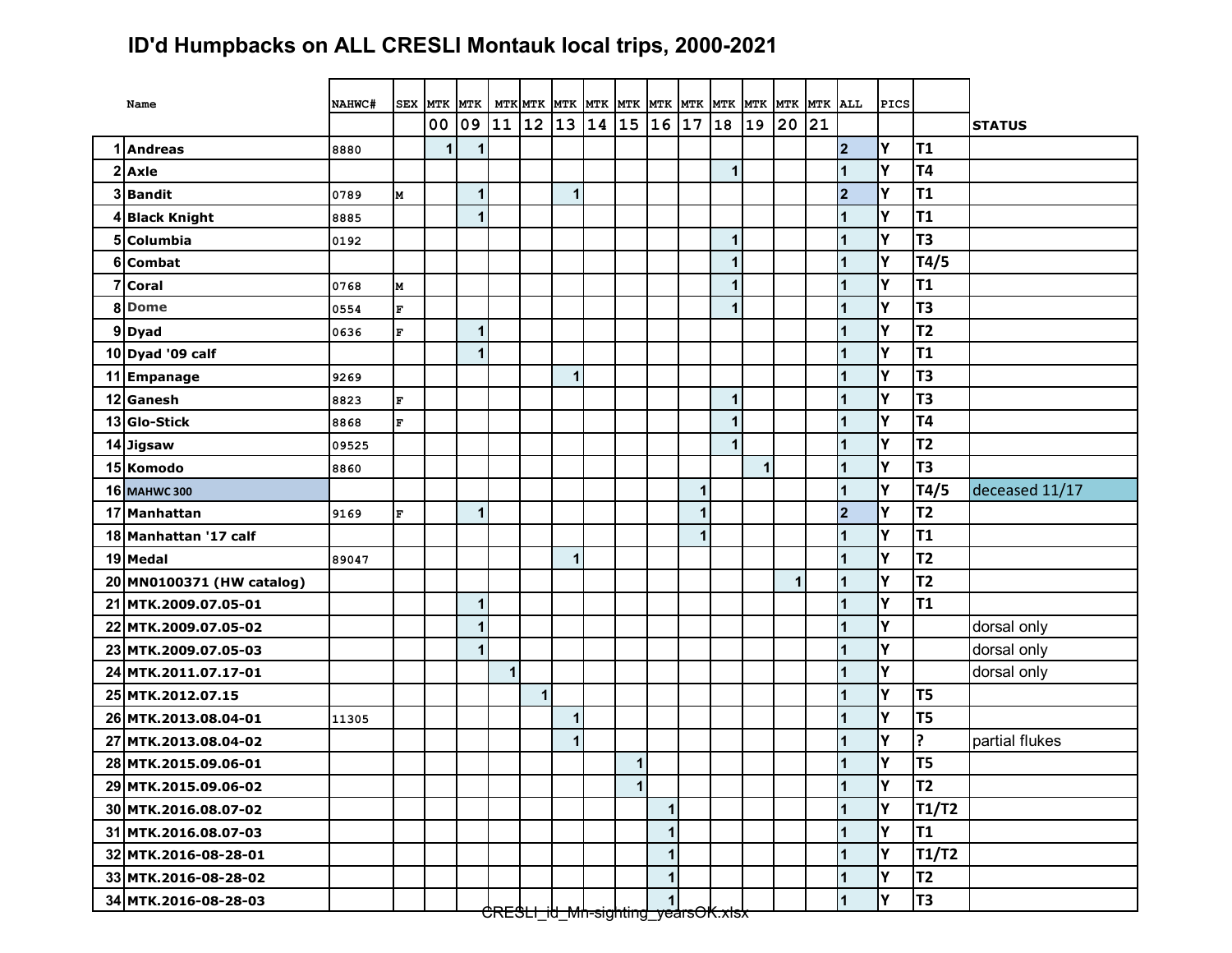## **ID'd Humpbacks on ALL CRESLI Montauk local trips, 2000-2021**

| Name                      | NAHWC# | SEX MTK                 |    | <b>MTK</b> |                                               |              |             |    |                |              |   |              |              |    |    |                      | PICS |                |                |
|---------------------------|--------|-------------------------|----|------------|-----------------------------------------------|--------------|-------------|----|----------------|--------------|---|--------------|--------------|----|----|----------------------|------|----------------|----------------|
|                           |        |                         | 00 | 09         | 11                                            | 12           | 13          | 14 | 15             | 16 17        |   | 18           | 19           | 20 | 21 |                      |      |                | <b>STATUS</b>  |
| 1 Andreas                 | 8880   |                         | 1  |            |                                               |              |             |    |                |              |   |              |              |    |    | $\overline{2}$       | Υ    | T <sub>1</sub> |                |
| $2$ Axle                  |        |                         |    |            |                                               |              |             |    |                |              |   | $\mathbf{1}$ |              |    |    | 1                    | Υ    | T <sub>4</sub> |                |
| 3 Bandit                  | 0789   | M                       |    | 1          |                                               |              | $\mathbf 1$ |    |                |              |   |              |              |    |    | $\overline{2}$       | Y    | T <sub>1</sub> |                |
| 4 Black Knight            | 8885   |                         |    | 1          |                                               |              |             |    |                |              |   |              |              |    |    | 1                    | Υ    | T <sub>1</sub> |                |
| 5 Columbia                | 0192   |                         |    |            |                                               |              |             |    |                |              |   | $\mathbf{1}$ |              |    |    | 1                    | Y    | T <sub>3</sub> |                |
| 6 Combat                  |        |                         |    |            |                                               |              |             |    |                |              |   | 1            |              |    |    | 1                    | Y    | T4/5           |                |
| 7 Coral                   | 0768   | M                       |    |            |                                               |              |             |    |                |              |   | 1            |              |    |    | 1                    | Y    | T <sub>1</sub> |                |
| 8Dome                     | 0554   | $\mathbf{F}$            |    |            |                                               |              |             |    |                |              |   | 1            |              |    |    | 1                    | Y    | T <sub>3</sub> |                |
| 9Dyad                     | 0636   | $\mathbf{F}$            |    | 1          |                                               |              |             |    |                |              |   |              |              |    |    | 1                    | Y    | T <sub>2</sub> |                |
| 10 Dyad '09 calf          |        |                         |    |            |                                               |              |             |    |                |              |   |              |              |    |    | 1                    | Υ    | <b>T1</b>      |                |
| 11 Empanage               | 9269   |                         |    |            |                                               |              | $\mathbf 1$ |    |                |              |   |              |              |    |    | 1                    | Y    | T <sub>3</sub> |                |
| 12 Ganesh                 | 8823   | $\mathbf F$             |    |            |                                               |              |             |    |                |              |   | $\mathbf{1}$ |              |    |    |                      | Y    | T <sub>3</sub> |                |
| 13 Glo-Stick              | 8868   | $\overline{\mathbf{F}}$ |    |            |                                               |              |             |    |                |              |   | 1            |              |    |    | 1                    | Y    | T4             |                |
| 14 Jigsaw                 | 09525  |                         |    |            |                                               |              |             |    |                |              |   | $\mathbf{1}$ |              |    |    | 1                    | Y    | T <sub>2</sub> |                |
| 15 Komodo                 | 8860   |                         |    |            |                                               |              |             |    |                |              |   |              | $\mathbf{1}$ |    |    | 1                    | Y    | T <sub>3</sub> |                |
| <b>16 MAHWC 300</b>       |        |                         |    |            |                                               |              |             |    |                |              | 1 |              |              |    |    | 1                    | Y    | T4/5           | deceased 11/17 |
| 17 Manhattan              | 9169   | $\mathbf{F}$            |    | 1          |                                               |              |             |    |                |              |   |              |              |    |    | $\overline{2}$       | Y    | T <sub>2</sub> |                |
| 18 Manhattan '17 calf     |        |                         |    |            |                                               |              |             |    |                |              | 1 |              |              |    |    | 1                    | Y    | <b>T1</b>      |                |
| 19 Medal                  | 89047  |                         |    |            |                                               |              | $\mathbf 1$ |    |                |              |   |              |              |    |    | 1                    | Υ    | T2             |                |
| 20 MN0100371 (HW catalog) |        |                         |    |            |                                               |              |             |    |                |              |   |              |              | 1  |    | 1                    | Y    | T <sub>2</sub> |                |
| 21 MTK.2009.07.05-01      |        |                         |    | 1          |                                               |              |             |    |                |              |   |              |              |    |    | 1                    | Y    | T <sub>1</sub> |                |
| 22 MTK.2009.07.05-02      |        |                         |    | 1          |                                               |              |             |    |                |              |   |              |              |    |    | 1                    | Y    |                | dorsal only    |
| 23 MTK.2009.07.05-03      |        |                         |    | 1          |                                               |              |             |    |                |              |   |              |              |    |    | 1                    | Y    |                | dorsal only    |
| 24 MTK.2011.07.17-01      |        |                         |    |            | $\mathbf{1}$                                  |              |             |    |                |              |   |              |              |    |    | 1                    | Y    |                | dorsal only    |
| 25 MTK.2012.07.15         |        |                         |    |            |                                               | $\mathbf{1}$ |             |    |                |              |   |              |              |    |    | 1                    | Y    | T <sub>5</sub> |                |
| 26 MTK.2013.08.04-01      | 11305  |                         |    |            |                                               |              | $\mathbf 1$ |    |                |              |   |              |              |    |    | 1                    | Y    | T <sub>5</sub> |                |
| 27 MTK.2013.08.04-02      |        |                         |    |            |                                               |              | $\mathbf 1$ |    |                |              |   |              |              |    |    | 1                    | Y    | ?              | partial flukes |
| 28 MTK.2015.09.06-01      |        |                         |    |            |                                               |              |             |    | 1              |              |   |              |              |    |    | 1                    | Υ    | T <sub>5</sub> |                |
| 29 MTK.2015.09.06-02      |        |                         |    |            |                                               |              |             |    | 1 <sup>1</sup> |              |   |              |              |    |    | $\vert$ 1            | I۷   | T <sub>2</sub> |                |
| 30 MTK.2016.08.07-02      |        |                         |    |            |                                               |              |             |    |                | $\mathbf{1}$ |   |              |              |    |    | $\mathbf{1}$         | Y    | <b>T1/T2</b>   |                |
| 31 MTK.2016.08.07-03      |        |                         |    |            |                                               |              |             |    |                | $\mathbf{1}$ |   |              |              |    |    | 1                    | Υ    | T <sub>1</sub> |                |
| 32 MTK.2016-08-28-01      |        |                         |    |            |                                               |              |             |    |                | 1            |   |              |              |    |    | $\mathbf 1$          | Y    | T1/T2          |                |
| 33 MTK.2016-08-28-02      |        |                         |    |            |                                               |              |             |    |                | 1            |   |              |              |    |    | 1                    | Υ    | T <sub>2</sub> |                |
| 34 MTK.2016-08-28-03      |        |                         |    |            | <del>CRESH itl Mn-sighting vearsOK xlsx</del> |              |             |    |                |              |   |              |              |    |    | $\blacktriangleleft$ | Y    | T <sub>3</sub> |                |

CRESLI\_id\_Mn-sighting\_yearsOK.xlsx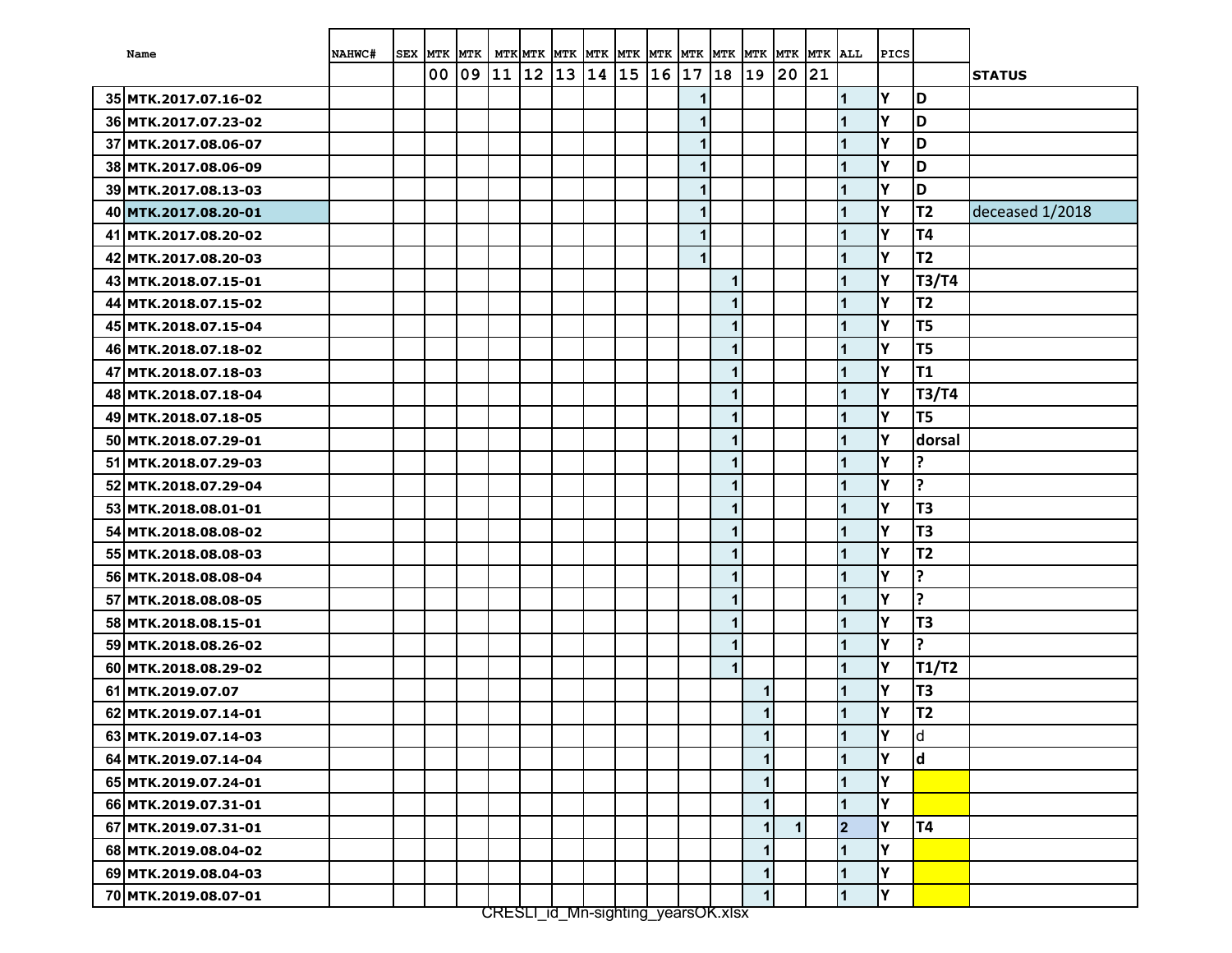| Name                 | NAHWC# | <b>SEX</b> | MTK MTK |              |    |      | MTK MTK MTK MTK MTK MTK |       |    | <b>MTK</b>                        | <b>MTK</b>   | <b>MTK</b>   | MTK MTK      |    | ALL            | PICS |                |                 |
|----------------------|--------|------------|---------|--------------|----|------|-------------------------|-------|----|-----------------------------------|--------------|--------------|--------------|----|----------------|------|----------------|-----------------|
|                      |        |            | 00      | $ 09\rangle$ | 11 | $12$ | 13                      | 14 15 | 16 | $\begin{array}{c} 17 \end{array}$ | 18           | 19           | 20           | 21 |                |      |                | <b>STATUS</b>   |
| 35 MTK.2017.07.16-02 |        |            |         |              |    |      |                         |       |    | 1                                 |              |              |              |    | $\mathbf{1}$   | Υ    | D              |                 |
| 36 MTK.2017.07.23-02 |        |            |         |              |    |      |                         |       |    | $\mathbf 1$                       |              |              |              |    | $\overline{1}$ | Y    | D              |                 |
| 37 MTK.2017.08.06-07 |        |            |         |              |    |      |                         |       |    | 1                                 |              |              |              |    | 1              | Υ    | D              |                 |
| 38 MTK.2017.08.06-09 |        |            |         |              |    |      |                         |       |    | 1                                 |              |              |              |    | 1              | Y    | D              |                 |
| 39 MTK.2017.08.13-03 |        |            |         |              |    |      |                         |       |    | 1                                 |              |              |              |    | 1              | Y    | D              |                 |
| 40 MTK.2017.08.20-01 |        |            |         |              |    |      |                         |       |    | 1                                 |              |              |              |    | 1              | Υ    | <b>T2</b>      | deceased 1/2018 |
| 41 MTK.2017.08.20-02 |        |            |         |              |    |      |                         |       |    | 1                                 |              |              |              |    | 1              | Y    | <b>T4</b>      |                 |
| 42 MTK.2017.08.20-03 |        |            |         |              |    |      |                         |       |    | $\mathbf 1$                       |              |              |              |    | 1              | Υ    | <b>T2</b>      |                 |
| 43 MTK.2018.07.15-01 |        |            |         |              |    |      |                         |       |    |                                   | $\mathbf{1}$ |              |              |    | 1              | Y    | T3/T4          |                 |
| 44 MTK.2018.07.15-02 |        |            |         |              |    |      |                         |       |    |                                   | $\mathbf{1}$ |              |              |    | 1              | Y    | <b>T2</b>      |                 |
| 45 MTK.2018.07.15-04 |        |            |         |              |    |      |                         |       |    |                                   | $\mathbf{1}$ |              |              |    | $\overline{1}$ | Y    | T <sub>5</sub> |                 |
| 46 MTK.2018.07.18-02 |        |            |         |              |    |      |                         |       |    |                                   | $\mathbf 1$  |              |              |    | 1              | Y    | T <sub>5</sub> |                 |
| 47 MTK.2018.07.18-03 |        |            |         |              |    |      |                         |       |    |                                   | $\mathbf{1}$ |              |              |    | 1              | Y    | <b>T1</b>      |                 |
| 48 MTK.2018.07.18-04 |        |            |         |              |    |      |                         |       |    |                                   | 1            |              |              |    | 1              | Y    | <b>T3/T4</b>   |                 |
| 49 MTK.2018.07.18-05 |        |            |         |              |    |      |                         |       |    |                                   | $\mathbf{1}$ |              |              |    | 1              | Υ    | T <sub>5</sub> |                 |
| 50 MTK.2018.07.29-01 |        |            |         |              |    |      |                         |       |    |                                   | 1            |              |              |    | 1              | Y    | dorsal         |                 |
| 51 MTK.2018.07.29-03 |        |            |         |              |    |      |                         |       |    |                                   | $\mathbf{1}$ |              |              |    | 1              | Y    | ?              |                 |
| 52 MTK.2018.07.29-04 |        |            |         |              |    |      |                         |       |    |                                   | $\mathbf{1}$ |              |              |    | 1              | Υ    | ?              |                 |
| 53 MTK.2018.08.01-01 |        |            |         |              |    |      |                         |       |    |                                   | $\mathbf{1}$ |              |              |    | 1              | Y    | T <sub>3</sub> |                 |
| 54 MTK.2018.08.08-02 |        |            |         |              |    |      |                         |       |    |                                   | $\mathbf{1}$ |              |              |    | 1              | Y    | T <sub>3</sub> |                 |
| 55 MTK.2018.08.08-03 |        |            |         |              |    |      |                         |       |    |                                   | $\mathbf 1$  |              |              |    | 1              | Y    | <b>T2</b>      |                 |
| 56 MTK.2018.08.08-04 |        |            |         |              |    |      |                         |       |    |                                   | $\mathbf{1}$ |              |              |    | 1              | Y    | ?              |                 |
| 57 MTK.2018.08.08-05 |        |            |         |              |    |      |                         |       |    |                                   | 1            |              |              |    | 1              | Y    | ?              |                 |
| 58 MTK.2018.08.15-01 |        |            |         |              |    |      |                         |       |    |                                   | $\mathbf{1}$ |              |              |    | 1              | Y    | T <sub>3</sub> |                 |
| 59 MTK.2018.08.26-02 |        |            |         |              |    |      |                         |       |    |                                   | 1            |              |              |    | 1              | Y    | ?              |                 |
| 60 MTK.2018.08.29-02 |        |            |         |              |    |      |                         |       |    |                                   | $\mathbf{1}$ |              |              |    | 1              | Υ    | <b>T1/T2</b>   |                 |
| 61 MTK.2019.07.07    |        |            |         |              |    |      |                         |       |    |                                   |              | $\mathbf{1}$ |              |    | 1              | Υ    | T <sub>3</sub> |                 |
| 62 MTK.2019.07.14-01 |        |            |         |              |    |      |                         |       |    |                                   |              | $\mathbf{1}$ |              |    | 1              | Y    | <b>T2</b>      |                 |
| 63 MTK.2019.07.14-03 |        |            |         |              |    |      |                         |       |    |                                   |              | 1            |              |    | $\blacksquare$ | İΥ   | <b>d</b>       |                 |
| 64 MTK.2019.07.14-04 |        |            |         |              |    |      |                         |       |    |                                   |              | $\mathbf{1}$ |              |    | 1              | Y    | ld.            |                 |
| 65 MTK.2019.07.24-01 |        |            |         |              |    |      |                         |       |    |                                   |              | 1            |              |    | $\mathbf{1}$   | Υ    |                |                 |
| 66 MTK.2019.07.31-01 |        |            |         |              |    |      |                         |       |    |                                   |              | $\mathbf{1}$ |              |    | 1              | İ٢   |                |                 |
| 67 MTK.2019.07.31-01 |        |            |         |              |    |      |                         |       |    |                                   |              | $\mathbf{1}$ | $\mathbf{1}$ |    | $\overline{2}$ | Υ    | T4             |                 |
| 68 MTK.2019.08.04-02 |        |            |         |              |    |      |                         |       |    |                                   |              | $\mathbf{1}$ |              |    | $\mathbf{1}$   | İΥ   |                |                 |
| 69 MTK.2019.08.04-03 |        |            |         |              |    |      |                         |       |    |                                   |              | $\mathbf{1}$ |              |    | $\mathbf{1}$   | Υ    |                |                 |
| 70 MTK.2019.08.07-01 |        |            |         |              |    |      |                         |       |    |                                   |              | $\mathbf{1}$ |              |    | $\mathbf{1}$   | Y    |                |                 |

CRESLI\_id\_Mn-sighting\_yearsOK.xlsx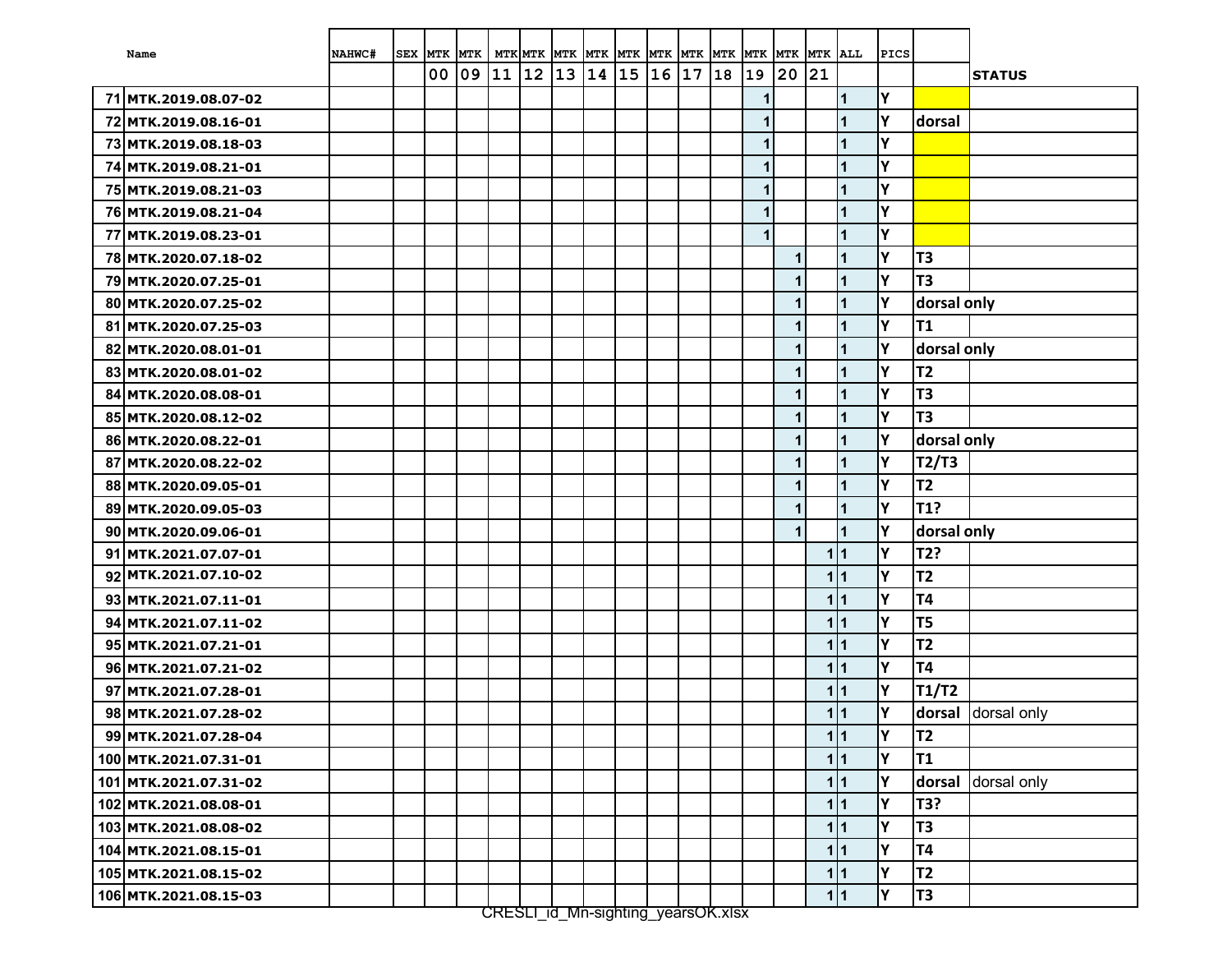| Name                  | NAHWC# | <b>SEX</b> | <b>MTK</b> | <b>MTK</b> |    |       | MTK MTK MTK MTK MTK MTK MTK |       |    |                  | <b>MTK</b> | <b>MTK</b>   | <b>MTK</b>   | <b>MTK</b> | <b>ALL</b> | PICS |                |               |
|-----------------------|--------|------------|------------|------------|----|-------|-----------------------------|-------|----|------------------|------------|--------------|--------------|------------|------------|------|----------------|---------------|
|                       |        |            | 00         | 09         | 11 | $ 12$ | 13 14                       | $ 15$ | 16 | $\vert 17 \vert$ | 18         | 19           | 20           | 21         |            |      |                | <b>STATUS</b> |
| 71 MTK.2019.08.07-02  |        |            |            |            |    |       |                             |       |    |                  |            | 1            |              |            | 1          | Υ    |                |               |
| 72 MTK.2019.08.16-01  |        |            |            |            |    |       |                             |       |    |                  |            | $\mathbf{1}$ |              |            | 1          | lΥ   | dorsal         |               |
| 73 MTK.2019.08.18-03  |        |            |            |            |    |       |                             |       |    |                  |            | $\mathbf{1}$ |              |            |            | Y    |                |               |
| 74 MTK.2019.08.21-01  |        |            |            |            |    |       |                             |       |    |                  |            | $\mathbf{1}$ |              |            | 1          | Υ    |                |               |
| 75 MTK.2019.08.21-03  |        |            |            |            |    |       |                             |       |    |                  |            | 1            |              |            |            | Y    |                |               |
| 76 MTK.2019.08.21-04  |        |            |            |            |    |       |                             |       |    |                  |            | $\mathbf{1}$ |              |            | 1          | Y    |                |               |
| 77 MTK.2019.08.23-01  |        |            |            |            |    |       |                             |       |    |                  |            | $\mathbf{1}$ |              |            | 1          | Y    |                |               |
| 78 MTK.2020.07.18-02  |        |            |            |            |    |       |                             |       |    |                  |            |              | $\mathbf 1$  |            | 1          | Y    | T3             |               |
| 79 MTK.2020.07.25-01  |        |            |            |            |    |       |                             |       |    |                  |            |              | $\mathbf{1}$ |            | 1          | lΥ   | T <sub>3</sub> |               |
| 80 MTK.2020.07.25-02  |        |            |            |            |    |       |                             |       |    |                  |            |              | $\mathbf 1$  |            | 1          | Y    | dorsal only    |               |
| 81 MTK.2020.07.25-03  |        |            |            |            |    |       |                             |       |    |                  |            |              | $\mathbf 1$  |            | 1          | lγ   | <b>T1</b>      |               |
| 82 MTK.2020.08.01-01  |        |            |            |            |    |       |                             |       |    |                  |            |              | $\mathbf 1$  |            | 1          | lΥ   | dorsal only    |               |
| 83 MTK.2020.08.01-02  |        |            |            |            |    |       |                             |       |    |                  |            |              | $\mathbf{1}$ |            | 1          | Y    | T <sub>2</sub> |               |
| 84 MTK.2020.08.08-01  |        |            |            |            |    |       |                             |       |    |                  |            |              | $\mathbf{1}$ |            | 1          | Y    | T3             |               |
| 85 MTK.2020.08.12-02  |        |            |            |            |    |       |                             |       |    |                  |            |              | $\mathbf 1$  |            | 1          | lΥ   | T <sub>3</sub> |               |
| 86 MTK.2020.08.22-01  |        |            |            |            |    |       |                             |       |    |                  |            |              | $\mathbf{1}$ |            | 1          | Y    | dorsal only    |               |
| 87 MTK.2020.08.22-02  |        |            |            |            |    |       |                             |       |    |                  |            |              | $\mathbf{1}$ |            | 1          | lΥ   | T2/T3          |               |
| 88 MTK.2020.09.05-01  |        |            |            |            |    |       |                             |       |    |                  |            |              | $\mathbf{1}$ |            | 1          | Y    | <b>T2</b>      |               |
| 89 MTK.2020.09.05-03  |        |            |            |            |    |       |                             |       |    |                  |            |              | $\mathbf 1$  |            | 1          | Y    | T1?            |               |
| 90 MTK.2020.09.06-01  |        |            |            |            |    |       |                             |       |    |                  |            |              | $\mathbf{1}$ |            | 1          | Y    | dorsal only    |               |
| 91 MTK.2021.07.07-01  |        |            |            |            |    |       |                             |       |    |                  |            |              |              | 111        |            | Y    | T2?            |               |
| 92 MTK.2021.07.10-02  |        |            |            |            |    |       |                             |       |    |                  |            |              |              | 111        |            | Υ    | <b>T2</b>      |               |
| 93 MTK.2021.07.11-01  |        |            |            |            |    |       |                             |       |    |                  |            |              |              | 111        |            | Y    | <b>T4</b>      |               |
| 94 MTK.2021.07.11-02  |        |            |            |            |    |       |                             |       |    |                  |            |              |              | 111        |            | Y    | T <sub>5</sub> |               |
| 95 MTK.2021.07.21-01  |        |            |            |            |    |       |                             |       |    |                  |            |              |              | 111        |            | lγ   | T <sub>2</sub> |               |
| 96 MTK.2021.07.21-02  |        |            |            |            |    |       |                             |       |    |                  |            |              |              | 111        |            | lΥ   | <b>T4</b>      |               |
| 97 MTK.2021.07.28-01  |        |            |            |            |    |       |                             |       |    |                  |            |              |              | 111        |            | Y    | T1/T2          |               |
| 98 MTK.2021.07.28-02  |        |            |            |            |    |       |                             |       |    |                  |            |              |              | 111        |            | Y    | dorsal         | dorsal only   |
| 99 MTK.2021.07.28-04  |        |            |            |            |    |       |                             |       |    |                  |            |              |              | 1 1        |            | İΥ   | <b>T2</b>      |               |
| 100 MTK.2021.07.31-01 |        |            |            |            |    |       |                             |       |    |                  |            |              |              | 1 1        |            | Y    | T1             |               |
| 101 MTK.2021.07.31-02 |        |            |            |            |    |       |                             |       |    |                  |            |              |              | 1 1        |            | Y    | dorsal         | dorsal only   |
| 102 MTK.2021.08.08-01 |        |            |            |            |    |       |                             |       |    |                  |            |              |              | 11         |            | Y    | T3?            |               |
| 103 MTK.2021.08.08-02 |        |            |            |            |    |       |                             |       |    |                  |            |              |              | 111        |            | Y    | T <sub>3</sub> |               |
| 104 MTK.2021.08.15-01 |        |            |            |            |    |       |                             |       |    |                  |            |              |              | 111        |            | Y    | T4             |               |
| 105 MTK.2021.08.15-02 |        |            |            |            |    |       |                             |       |    |                  |            |              |              | 1 1        |            | Y    | T <sub>2</sub> |               |
| 106 MTK.2021.08.15-03 |        |            |            |            |    |       |                             |       |    |                  |            |              |              | 11         |            | Y    | T <sub>3</sub> |               |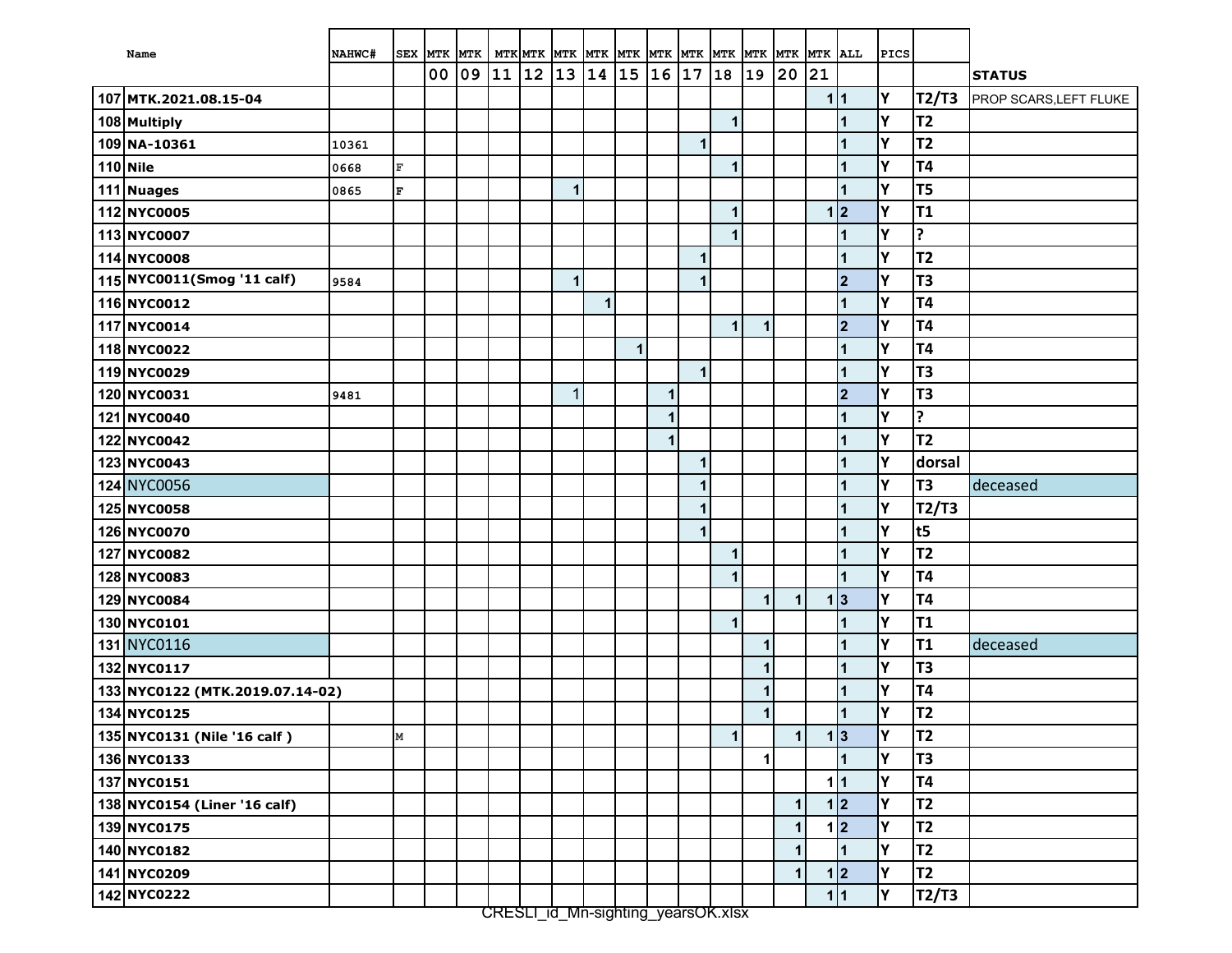| Name                            | NAHWC# | <b>SEX</b>   | MTK MTK |    |    | MTK MTK MTK  |              | MTK MTK |              | MTK MTK |            | <b>MTK</b>   |              | MTK MTK MTK ALL |     |                         | <b>PICS</b> |                |                               |
|---------------------------------|--------|--------------|---------|----|----|--------------|--------------|---------|--------------|---------|------------|--------------|--------------|-----------------|-----|-------------------------|-------------|----------------|-------------------------------|
|                                 |        |              | 00      | 09 | 11 | $ 12\rangle$ | $ 13\rangle$ | 14      | 15           | 16      | $\vert 17$ | 18           | 19           | 20              | 21  |                         |             |                | <b>STATUS</b>                 |
| 107 MTK.2021.08.15-04           |        |              |         |    |    |              |              |         |              |         |            |              |              |                 | 1 1 |                         | Y           | T2/T3          | <b>PROP SCARS, LEFT FLUKE</b> |
| 108 Multiply                    |        |              |         |    |    |              |              |         |              |         |            | 1            |              |                 |     |                         | Y           | <b>T2</b>      |                               |
| 109 NA-10361                    | 10361  |              |         |    |    |              |              |         |              |         | 1          |              |              |                 |     |                         | Υ           | T <sub>2</sub> |                               |
| 110 Nile                        | 0668   | $\mathbf{F}$ |         |    |    |              |              |         |              |         |            | 1            |              |                 |     |                         | Υ           | <b>T4</b>      |                               |
| 111 Nuages                      | 0865   | $\mathbf{F}$ |         |    |    |              | $\mathbf{1}$ |         |              |         |            |              |              |                 |     |                         | Y           | T <sub>5</sub> |                               |
| 112 NYC0005                     |        |              |         |    |    |              |              |         |              |         |            | 1            |              |                 |     | 1 2                     | Υ           | T1             |                               |
| 113 NYC0007                     |        |              |         |    |    |              |              |         |              |         |            | 1            |              |                 |     | $\overline{1}$          | Υ           | ?              |                               |
| 114 NYC0008                     |        |              |         |    |    |              |              |         |              |         | 1          |              |              |                 |     | $\overline{1}$          | Y           | T <sub>2</sub> |                               |
| 115 NYC0011 (Smog '11 calf)     | 9584   |              |         |    |    |              | $\mathbf{1}$ |         |              |         | 1          |              |              |                 |     | $\overline{2}$          | Y           | T <sub>3</sub> |                               |
| 116 NYC0012                     |        |              |         |    |    |              |              | 1       |              |         |            |              |              |                 |     | 1                       | Υ           | <b>T4</b>      |                               |
| 117 NYC0014                     |        |              |         |    |    |              |              |         |              |         |            | $\mathbf{1}$ | $\mathbf 1$  |                 |     | $\overline{2}$          | Y           | <b>T4</b>      |                               |
| 118 NYC0022                     |        |              |         |    |    |              |              |         | $\mathbf{1}$ |         |            |              |              |                 |     |                         | Υ           | <b>T4</b>      |                               |
| 119 NYC0029                     |        |              |         |    |    |              |              |         |              |         | 1          |              |              |                 |     | 1                       | Y           | T <sub>3</sub> |                               |
| 120 NYC0031                     | 9481   |              |         |    |    |              | $\mathbf{1}$ |         |              | 1       |            |              |              |                 |     | $\overline{\mathbf{2}}$ | Y           | T <sub>3</sub> |                               |
| 121 NYC0040                     |        |              |         |    |    |              |              |         |              | 1       |            |              |              |                 |     | 1                       | Υ           | ?              |                               |
| 122 NYC0042                     |        |              |         |    |    |              |              |         |              | 1       |            |              |              |                 |     | $\overline{1}$          | Υ           | T <sub>2</sub> |                               |
| 123 NYC0043                     |        |              |         |    |    |              |              |         |              |         | 1          |              |              |                 |     | 1                       | Y           | dorsal         |                               |
| 124 NYC0056                     |        |              |         |    |    |              |              |         |              |         | 1          |              |              |                 |     | 1                       | Y           | T <sub>3</sub> | deceased                      |
| 125 NYC0058                     |        |              |         |    |    |              |              |         |              |         | 1          |              |              |                 |     |                         | Y           | T2/T3          |                               |
| 126 NYC0070                     |        |              |         |    |    |              |              |         |              |         | 1          |              |              |                 |     |                         | Υ           | t5             |                               |
| 127 NYC0082                     |        |              |         |    |    |              |              |         |              |         |            | 1            |              |                 |     |                         | Y           | T <sub>2</sub> |                               |
| 128 NYC0083                     |        |              |         |    |    |              |              |         |              |         |            | 1            |              |                 |     | 1                       | Y           | <b>T4</b>      |                               |
| 129 NYC0084                     |        |              |         |    |    |              |              |         |              |         |            |              | $\mathbf{1}$ | $\mathbf{1}$    |     | 1 3                     | Υ           | <b>T4</b>      |                               |
| 130 NYC0101                     |        |              |         |    |    |              |              |         |              |         |            | $\mathbf{1}$ |              |                 |     | $\overline{1}$          | Υ           | T <sub>1</sub> |                               |
| 131 NYC0116                     |        |              |         |    |    |              |              |         |              |         |            |              | $\mathbf{1}$ |                 |     | $\overline{1}$          | Y           | <b>T1</b>      | deceased                      |
| 132 NYC0117                     |        |              |         |    |    |              |              |         |              |         |            |              | 1            |                 |     | $\overline{1}$          | Υ           | T <sub>3</sub> |                               |
| 133 NYC0122 (MTK.2019.07.14-02) |        |              |         |    |    |              |              |         |              |         |            |              | 1            |                 |     | 1                       | Υ           | <b>T4</b>      |                               |
| 134 NYC0125                     |        |              |         |    |    |              |              |         |              |         |            |              | 1            |                 |     | 1                       | Y           | T2             |                               |
| 135 NYC0131 (Nile '16 calf)     |        | $\mathbf M$  |         |    |    |              |              |         |              |         |            | 1            |              | 1               |     | 1 3                     | I۲          | <b>T2</b>      |                               |
| 136 NYC0133                     |        |              |         |    |    |              |              |         |              |         |            |              | 1            |                 |     |                         | Y           | T <sub>3</sub> |                               |
| 137 NYC0151                     |        |              |         |    |    |              |              |         |              |         |            |              |              |                 |     | 1 1                     | Y           | <b>T4</b>      |                               |
| 138 NYC0154 (Liner '16 calf)    |        |              |         |    |    |              |              |         |              |         |            |              |              | $\mathbf{1}$    |     | 1 2                     | Y           | T <sub>2</sub> |                               |
| 139 NYC0175                     |        |              |         |    |    |              |              |         |              |         |            |              |              | $\mathbf{1}$    |     | 1 2                     | Υ           | T <sub>2</sub> |                               |
| 140 NYC0182                     |        |              |         |    |    |              |              |         |              |         |            |              |              | $\mathbf{1}$    |     | $\blacktriangleleft$    | Y           | T <sub>2</sub> |                               |
| 141 NYC0209                     |        |              |         |    |    |              |              |         |              |         |            |              |              | $\mathbf{1}$    |     | 1 2                     | Υ           | T <sub>2</sub> |                               |
| 142 NYC0222                     |        |              |         |    |    |              |              |         |              |         |            |              |              |                 |     | 1 1                     | Y           | T2/T3          |                               |